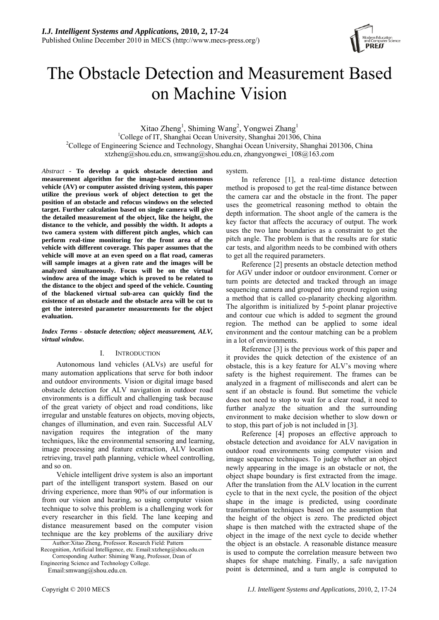

# The Obstacle Detection and Measurement Based on Machine Vision

Xitao Zheng<sup>1</sup>, Shiming Wang<sup>2</sup>, Yongwei Zhang<sup>1</sup>

<sup>1</sup>College of IT, Shanghai Ocean University, Shanghai 201306, China <sup>2</sup>College of Engineering Science and Technology, Shanghai Ocean University, Shanghai <sup>2</sup>College of Engineering Science and Technology, Shanghai Ocean University, Shanghai 201306, China xtzheng@shou.edu.cn, smwang@shou.edu.cn, zhangyongwei\_108@163.com

*Abstract* - **To develop a quick obstacle detection and measurement algorithm for the image-based autonomous vehicle (AV) or computer assisted driving system, this paper utilize the previous work of object detection to get the position of an obstacle and refocus windows on the selected target. Further calculation based on single camera will give the detailed measurement of the object, like the height, the distance to the vehicle, and possibly the width. It adopts a two camera system with different pitch angles, which can perform real-time monitoring for the front area of the vehicle with different coverage. This paper assumes that the vehicle will move at an even speed on a flat road, cameras will sample images at a given rate and the images will be analyzed simultaneously. Focus will be on the virtual window area of the image which is proved to be related to the distance to the object and speed of the vehicle. Counting of the blackened virtual sub-area can quickly find the existence of an obstacle and the obstacle area will be cut to get the interested parameter measurements for the object evaluation.**

*Index Terms - obstacle detection; object measurement, ALV, virtual window.* 

# I. INTRODUCTION

Autonomous land vehicles (ALVs) are useful for many automation applications that serve for both indoor and outdoor environments. Vision or digital image based obstacle detection for ALV navigation in outdoor road environments is a difficult and challenging task because of the great variety of object and road conditions, like irregular and unstable features on objects, moving objects, changes of illumination, and even rain. Successful ALV navigation requires the integration of the many techniques, like the environmental sensoring and learning, image processing and feature extraction, ALV location retrieving, travel path planning, vehicle wheel controlling, and so on.

Vehicle intelligent drive system is also an important part of the intelligent transport system. Based on our driving experience, more than 90% of our information is from our vision and hearing, so using computer vision technique to solve this problem is a challenging work for every researcher in this field. The lane keeping and distance measurement based on the computer vision technique are the key problems of the auxiliary drive

Author:Xitao Zheng, Professor. Research Field: Pattern Recognition, Artificial Intelligence, etc. Email:xtzheng@shou.edu.cn Corresponding Author: Shiming Wang, Professor, Dean of

Engineering Science and Technology College.

Email:smwang@shou.edu.cn.

#### system.

In reference [1], a real-time distance detection method is proposed to get the real-time distance between the camera car and the obstacle in the front. The paper uses the geometrical reasoning method to obtain the depth information. The shoot angle of the camera is the key factor that affects the accuracy of output. The work uses the two lane boundaries as a constraint to get the pitch angle. The problem is that the results are for static car tests, and algorithm needs to be combined with others to get all the required parameters.

Reference [2] presents an obstacle detection method for AGV under indoor or outdoor environment. Corner or turn points are detected and tracked through an image sequencing camera and grouped into ground region using a method that is called co-planarity checking algorithm. The algorithm is initialized by 5-point planar projective and contour cue which is added to segment the ground region. The method can be applied to some ideal environment and the contour matching can be a problem in a lot of environments.

Reference [3] is the previous work of this paper and it provides the quick detection of the existence of an obstacle, this is a key feature for ALV's moving where safety is the highest requirement. The frames can be analyzed in a fragment of milliseconds and alert can be sent if an obstacle is found. But sometime the vehicle does not need to stop to wait for a clear road, it need to further analyze the situation and the surrounding environment to make decision whether to slow down or to stop, this part of job is not included in [3].

Reference [4] proposes an effective approach to obstacle detection and avoidance for ALV navigation in outdoor road environments using computer vision and image sequence techniques. To judge whether an object newly appearing in the image is an obstacle or not, the object shape boundary is first extracted from the image. After the translation from the ALV location in the current cycle to that in the next cycle, the position of the object shape in the image is predicted, using coordinate transformation techniques based on the assumption that the height of the object is zero. The predicted object shape is then matched with the extracted shape of the object in the image of the next cycle to decide whether the object is an obstacle. A reasonable distance measure is used to compute the correlation measure between two shapes for shape matching. Finally, a safe navigation point is determined, and a turn angle is computed to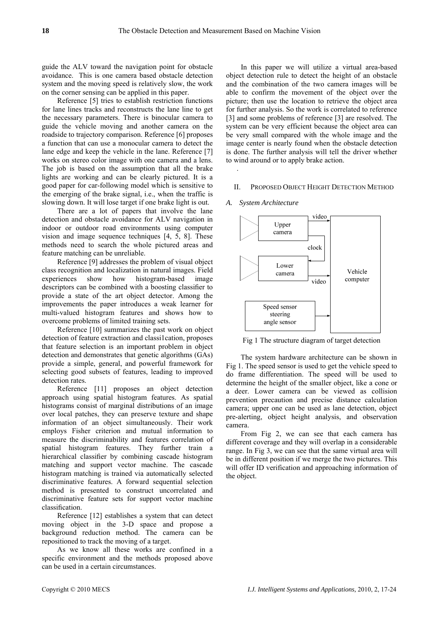.

*A. System Architecture* 

guide the ALV toward the navigation point for obstacle avoidance. This is one camera based obstacle detection system and the moving speed is relatively slow, the work on the corner sensing can be applied in this paper.

Reference [5] tries to establish restriction functions for lane lines tracks and reconstructs the lane line to get the necessary parameters. There is binocular camera to guide the vehicle moving and another camera on the roadside to trajectory comparison. Reference [6] proposes a function that can use a monocular camera to detect the lane edge and keep the vehicle in the lane. Reference [7] works on stereo color image with one camera and a lens. The job is based on the assumption that all the brake lights are working and can be clearly pictured. It is a good paper for car-following model which is sensitive to the emerging of the brake signal, i.e., when the traffic is slowing down. It will lose target if one brake light is out.

There are a lot of papers that involve the lane detection and obstacle avoidance for ALV navigation in indoor or outdoor road environments using computer vision and image sequence techniques [4, 5, 8]. These methods need to search the whole pictured areas and feature matching can be unreliable.

Reference [9] addresses the problem of visual object class recognition and localization in natural images. Field experiences show how histogram-based image descriptors can be combined with a boosting classifier to provide a state of the art object detector. Among the improvements the paper introduces a weak learner for multi-valued histogram features and shows how to overcome problems of limited training sets.

Reference [10] summarizes the past work on object detection of feature extraction and classi1cation, proposes that feature selection is an important problem in object detection and demonstrates that genetic algorithms (GAs) provide a simple, general, and powerful framework for selecting good subsets of features, leading to improved detection rates.

Reference [11] proposes an object detection approach using spatial histogram features. As spatial histograms consist of marginal distributions of an image over local patches, they can preserve texture and shape information of an object simultaneously. Their work employs Fisher criterion and mutual information to measure the discriminability and features correlation of spatial histogram features. They further train a hierarchical classifier by combining cascade histogram matching and support vector machine. The cascade histogram matching is trained via automatically selected discriminative features. A forward sequential selection method is presented to construct uncorrelated and discriminative feature sets for support vector machine classification.

Reference [12] establishes a system that can detect moving object in the 3-D space and propose a background reduction method. The camera can be repositioned to track the moving of a target.

As we know all these works are confined in a specific environment and the methods proposed above can be used in a certain circumstances.

In this paper we will utilize a virtual area-based object detection rule to detect the height of an obstacle and the combination of the two camera images will be able to confirm the movement of the object over the picture; then use the location to retrieve the object area for further analysis. So the work is correlated to reference [3] and some problems of reference [3] are resolved. The system can be very efficient because the object area can be very small compared with the whole image and the image center is nearly found when the obstacle detection is done. The further analysis will tell the driver whether to wind around or to apply brake action.

#### II. PROPOSED OBJECT HEIGHT DETECTION METHOD

# video Upper camera clock I ower Vehicle camera computer video Speed sensor steering angle sensor

Fig 1 The structure diagram of target detection

The system hardware architecture can be shown in Fig 1. The speed sensor is used to get the vehicle speed to do frame differentiation. The speed will be used to determine the height of the smaller object, like a cone or a deer. Lower camera can be viewed as collision prevention precaution and precise distance calculation camera; upper one can be used as lane detection, object pre-alerting, object height analysis, and observation camera.

From Fig 2, we can see that each camera has different coverage and they will overlap in a considerable range. In Fig 3, we can see that the same virtual area will be in different position if we merge the two pictures. This will offer ID verification and approaching information of the object.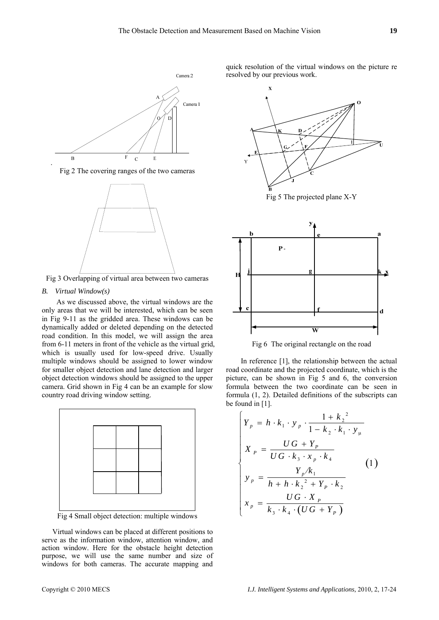

Fig 2 The covering ranges of the two cameras



Fig 3 Overlapping of virtual area between two cameras

# *B. Virtual Window(s)*

As we discussed above, the virtual windows are the only areas that we will be interested, which can be seen in Fig 9-11 as the gridded area. These windows can be dynamically added or deleted depending on the detected road condition. In this model, we will assign the area from 6-11 meters in front of the vehicle as the virtual grid, which is usually used for low-speed drive. Usually multiple windows should be assigned to lower window for smaller object detection and lane detection and larger object detection windows should be assigned to the upper camera. Grid shown in Fig 4 can be an example for slow country road driving window setting.



Fig 4 Small object detection: multiple windows

Virtual windows can be placed at different positions to serve as the information window, attention window, and action window. Here for the obstacle height detection purpose, we will use the same number and size of windows for both cameras. The accurate mapping and quick resolution of the virtual windows on the picture re resolved by our previous work.



Fig 5 The projected plane X-Y



Fig 6 The original rectangle on the road

In reference [1], the relationship between the actual road coordinate and the projected coordinate, which is the picture, can be shown in Fig 5 and 6, the conversion formula between the two coordinate can be seen in formula (1, 2). Detailed definitions of the subscripts can be found in [1].

$$
\begin{cases}\nY_p = h \cdot k_1 \cdot y_p \cdot \frac{1 + k_2^2}{1 - k_2 \cdot k_1 \cdot y_\mu} \\
X_p = \frac{UG + Y_p}{UG \cdot k_3 \cdot x_p \cdot k_4} \\
y_p = \frac{Y_p / k_1}{h + h \cdot k_2^2 + Y_p \cdot k_2} \\
x_p = \frac{UG \cdot X_p}{k_3 \cdot k_4 \cdot (UG + Y_p)}\n\end{cases}
$$
\n(1)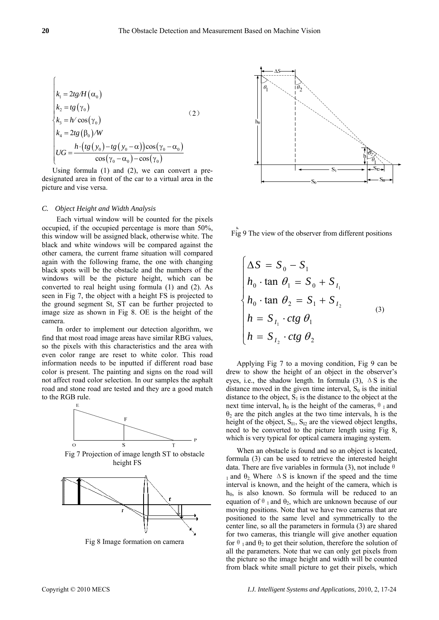$$
\begin{cases}\nk_1 = 2tg/H(\alpha_0) \\
k_2 = tg(\gamma_0) \\
k_3 = h/\cos(\gamma_0) \\
k_4 = 2tg(\beta_0)/W \\
UG = \frac{h \cdot (tg(\gamma_0) - tg(\gamma_0 - \alpha))\cos(\gamma_0 - \alpha_0)}{\cos(\gamma_0 - \alpha_0) - \cos(\gamma_0)}\n\end{cases}
$$
\n(2)

Using formula (1) and (2), we can convert a predesignated area in front of the car to a virtual area in the picture and vise versa.

## *C. Object Height and Width Analysis*

Each virtual window will be counted for the pixels occupied, if the occupied percentage is more than 50%, this window will be assigned black, otherwise white. The black and white windows will be compared against the other camera, the current frame situation will compared again with the following frame, the one with changing black spots will be the obstacle and the numbers of the windows will be the picture height, which can be converted to real height using formula (1) and (2). As seen in Fig 7, the object with a height FS is projected to the ground segment St, ST can be further projected to image size as shown in Fig 8. OE is the height of the camera.

In order to implement our detection algorithm, we find that most road image areas have similar RBG values, so the pixels with this characteristics and the area with even color range are reset to white color. This road information needs to be inputted if different road base color is present. The painting and signs on the road will not affect road color selection. In our samples the asphalt road and stone road are tested and they are a good match to the RGB rule.



Fig 7 Projection of image length ST to obstacle height FS



Fig 8 Image formation on camera



Fig 9 The view of the observer from different positions

$$
\begin{cases}\n\Delta S = S_0 - S_1 \\
h_0 \cdot \tan \theta_1 = S_0 + S_{I_1} \\
h_0 \cdot \tan \theta_2 = S_1 + S_{I_2} \\
h = S_{I_1} \cdot ctg \theta_1 \\
h = S_{I_2} \cdot ctg \theta_2\n\end{cases} (3)
$$

Applying Fig 7 to a moving condition, Fig 9 can be drew to show the height of an object in the observer's eyes, i.e., the shadow length. In formula (3),  $\Delta S$  is the distance moved in the given time interval,  $S_0$  is the initial distance to the object,  $S_1$  is the distance to the object at the next time interval,  $h_0$  is the height of the cameras,  $\theta_1$  and  $\theta_2$  are the pitch angles at the two time intervals, h is the height of the object,  $S_{11}$ ,  $S_{12}$  are the viewed object lengths, need to be converted to the picture length using Fig 8, which is very typical for optical camera imaging system.

When an obstacle is found and so an object is located, formula (3) can be used to retrieve the interested height data. There are five variables in formula (3), not include  $\theta$ 1 and  $\theta_2$  Where  $\Delta S$  is known if the speed and the time interval is known, and the height of the camera, which is  $h_0$ , is also known. So formula will be reduced to an equation of  $\theta_1$  and  $\theta_2$ , which are unknown because of our moving positions. Note that we have two cameras that are positioned to the same level and symmetrically to the center line, so all the parameters in formula (3) are shared for two cameras, this triangle will give another equation for  $\theta_1$  and  $\theta_2$  to get their solution, therefore the solution of all the parameters. Note that we can only get pixels from the picture so the image height and width will be counted from black white small picture to get their pixels, which

 $\sqrt{ }$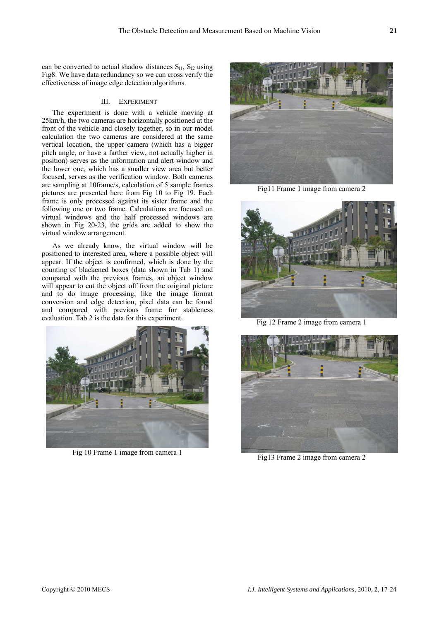can be converted to actual shadow distances  $S_{11}$ ,  $S_{12}$  using Fig8. We have data redundancy so we can cross verify the effectiveness of image edge detection algorithms.

# III. EXPERIMENT

The experiment is done with a vehicle moving at 25km/h, the two cameras are horizontally positioned at the front of the vehicle and closely together, so in our model calculation the two cameras are considered at the same vertical location, the upper camera (which has a bigger pitch angle, or have a farther view, not actually higher in position) serves as the information and alert window and the lower one, which has a smaller view area but better focused, serves as the verification window. Both cameras are sampling at 10frame/s, calculation of 5 sample frames pictures are presented here from Fig 10 to Fig 19. Each frame is only processed against its sister frame and the following one or two frame. Calculations are focused on virtual windows and the half processed windows are shown in Fig 20-23, the grids are added to show the virtual window arrangement.

As we already know, the virtual window will be positioned to interested area, where a possible object will appear. If the object is confirmed, which is done by the counting of blackened boxes (data shown in Tab 1) and compared with the previous frames, an object window will appear to cut the object off from the original picture and to do image processing, like the image format conversion and edge detection, pixel data can be found and compared with previous frame for stableness evaluation. Tab 2 is the data for this experiment.



Fig 10 Frame 1 image from camera 1



Fig11 Frame 1 image from camera 2



Fig 12 Frame 2 image from camera 1



Fig13 Frame 2 image from camera 2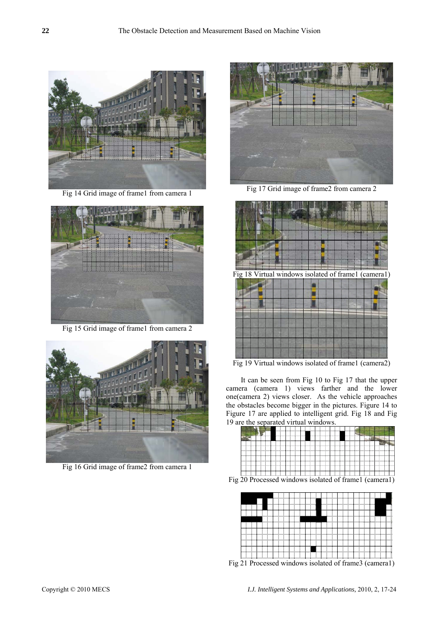

Fig 14 Grid image of frame1 from camera 1



Fig 15 Grid image of frame1 from camera 2



Fig 16 Grid image of frame2 from camera 1



Fig 17 Grid image of frame2 from camera 2



г

Fig 19 Virtual windows isolated of frame1 (camera2)

It can be seen from Fig 10 to Fig 17 that the upper camera (camera 1) views farther and the lower one(camera 2) views closer. As the vehicle approaches the obstacles become bigger in the pictures. Figure 14 to Figure 17 are applied to intelligent grid. Fig 18 and Fig 19 are the separated virtual windows.



Fig 20 Processed windows isolated of frame1 (camera1)



Fig 21 Processed windows isolated of frame3 (camera1)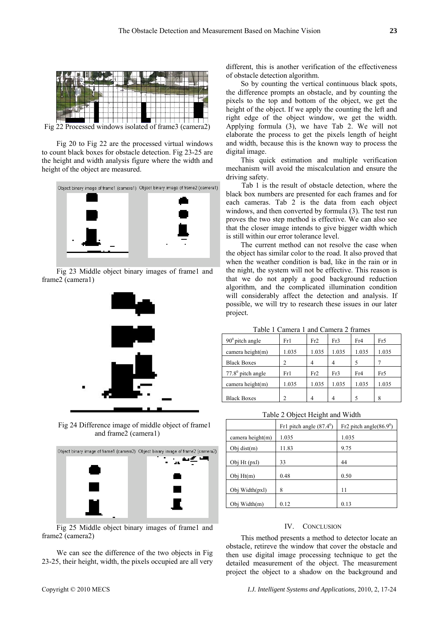

Fig 22 Processed windows isolated of frame3 (camera2)

Fig 20 to Fig 22 are the processed virtual windows to count black boxes for obstacle detection. Fig 23-25 are the height and width analysis figure where the width and height of the object are measured.



Fig 23 Middle object binary images of frame1 and frame2 (camera1)



Fig 24 Difference image of middle object of frame1 and frame2 (camera1)



Fig 25 Middle object binary images of frame1 and frame2 (camera2)

We can see the difference of the two objects in Fig 23-25, their height, width, the pixels occupied are all very

different, this is another verification of the effectiveness of obstacle detection algorithm.

So by counting the vertical continuous black spots, the difference prompts an obstacle, and by counting the pixels to the top and bottom of the object, we get the height of the object. If we apply the counting the left and right edge of the object window, we get the width. Applying formula (3), we have Tab 2. We will not elaborate the process to get the pixels length of height and width, because this is the known way to process the digital image.

This quick estimation and multiple verification mechanism will avoid the miscalculation and ensure the driving safety.

Tab 1 is the result of obstacle detection, where the black box numbers are presented for each frames and for each cameras. Tab 2 is the data from each object windows, and then converted by formula (3). The test run proves the two step method is effective. We can also see that the closer image intends to give bigger width which is still within our error tolerance level.

The current method can not resolve the case when the object has similar color to the road. It also proved that when the weather condition is bad, like in the rain or in the night, the system will not be effective. This reason is that we do not apply a good background reduction algorithm, and the complicated illumination condition will considerably affect the detection and analysis. If possible, we will try to research these issues in our later project.

|  | Table 1 Camera 1 and Camera 2 frames |  |  |  |
|--|--------------------------------------|--|--|--|
|  |                                      |  |  |  |

| $90^0$ pitch angle  | Fr1   | Fr2   | Fr3   | Fr4   | Fr5   |
|---------------------|-------|-------|-------|-------|-------|
| camera height $(m)$ | 1.035 | 1.035 | 1.035 | 1.035 | 1.035 |
| <b>Black Boxes</b>  | 2     |       | 4     | 5     |       |
| $77.80$ pitch angle | Fr1   | Fr2   | Fr3   | Fr4   | Fr5   |
| camera height $(m)$ | 1.035 | 1.035 | 1.035 | 1.035 | 1.035 |
|                     |       |       |       |       |       |
| <b>Black Boxes</b>  | 2     |       |       |       | 8     |

Table 2 Object Height and Width

|                     | Fr1 pitch angle $(87.4^{\circ})$ | Fr2 pitch angle( $86.9^\circ$ ) |
|---------------------|----------------------------------|---------------------------------|
| camera height $(m)$ | 1.035                            | 1.035                           |
| Obj dist $(m)$      | 11.83                            | 9.75                            |
| Obj Ht (pxl)        | 33                               | 44                              |
| Obj $Ht(m)$         | 0.48                             | 0.50                            |
| Obj Width(pxl)      | 8                                | 11                              |
| Obj Width(m)        | 0.12                             | 0.13                            |

### IV. CONCLUSION

This method presents a method to detector locate an obstacle, retireve the window that cover the obstacle and then use digital image processing technique to get the detailed measurement of the object. The measurement project the object to a shadow on the background and